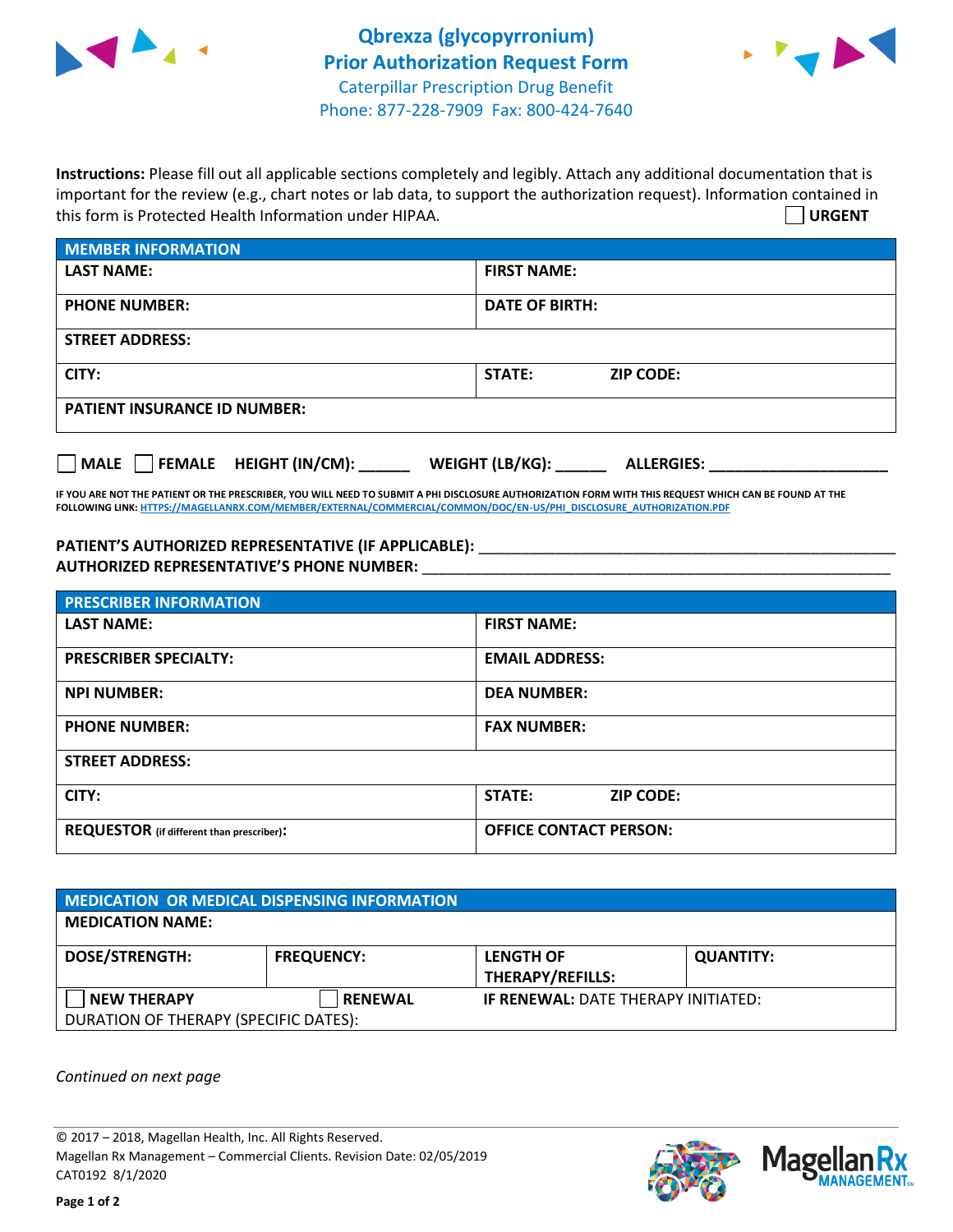



**Instructions:** Please fill out all applicable sections completely and legibly. Attach any additional documentation that is important for the review (e.g., chart notes or lab data, to support the authorization request). Information contained in this form is Protected Health Information under HIPAA. **URGENT**

| <b>MEMBER INFORMATION</b>             |                                      |  |  |  |
|---------------------------------------|--------------------------------------|--|--|--|
| <b>LAST NAME:</b>                     | <b>FIRST NAME:</b>                   |  |  |  |
| <b>PHONE NUMBER:</b>                  | <b>DATE OF BIRTH:</b>                |  |  |  |
| <b>STREET ADDRESS:</b>                |                                      |  |  |  |
| CITY:                                 | STATE:<br><b>ZIP CODE:</b>           |  |  |  |
| <b>PATIENT INSURANCE ID NUMBER:</b>   |                                      |  |  |  |
| FEMALE HEIGHT (IN/CM):<br><b>MALE</b> | WEIGHT (LB/KG):<br><b>ALLERGIES:</b> |  |  |  |

**IF YOU ARE NOT THE PATIENT OR THE PRESCRIBER, YOU WILL NEED TO SUBMIT A PHI DISCLOSURE AUTHORIZATION FORM WITH THIS REQUEST WHICH CAN BE FOUND AT THE FOLLOWING LINK[: HTTPS://MAGELLANRX.COM/MEMBER/EXTERNAL/COMMERCIAL/COMMON/DOC/EN-US/PHI\\_DISCLOSURE\\_AUTHORIZATION.PDF](https://magellanrx.com/member/external/commercial/common/doc/en-us/PHI_Disclosure_Authorization.pdf)**

PATIENT'S AUTHORIZED REPRESENTATIVE (IF APPLICABLE): \_\_\_\_\_\_\_\_\_\_\_\_\_\_\_\_\_\_\_\_\_\_\_\_\_\_\_ **AUTHORIZED REPRESENTATIVE'S PHONE NUMBER:** \_\_\_\_\_\_\_\_\_\_\_\_\_\_\_\_\_\_\_\_\_\_\_\_\_\_\_\_\_\_\_\_\_\_\_\_\_\_\_\_\_\_\_\_\_\_\_\_\_\_\_\_\_\_\_

| <b>PRESCRIBER INFORMATION</b>             |                               |  |  |  |
|-------------------------------------------|-------------------------------|--|--|--|
| <b>LAST NAME:</b>                         | <b>FIRST NAME:</b>            |  |  |  |
| <b>PRESCRIBER SPECIALTY:</b>              | <b>EMAIL ADDRESS:</b>         |  |  |  |
| <b>NPI NUMBER:</b>                        | <b>DEA NUMBER:</b>            |  |  |  |
| <b>PHONE NUMBER:</b>                      | <b>FAX NUMBER:</b>            |  |  |  |
| <b>STREET ADDRESS:</b>                    |                               |  |  |  |
| CITY:                                     | STATE:<br><b>ZIP CODE:</b>    |  |  |  |
| REQUESTOR (if different than prescriber): | <b>OFFICE CONTACT PERSON:</b> |  |  |  |

| <b>MEDICATION OR MEDICAL DISPENSING INFORMATION</b> |                   |                                            |                  |  |  |
|-----------------------------------------------------|-------------------|--------------------------------------------|------------------|--|--|
| <b>MEDICATION NAME:</b>                             |                   |                                            |                  |  |  |
| <b>DOSE/STRENGTH:</b>                               | <b>FREQUENCY:</b> | <b>LENGTH OF</b>                           | <b>QUANTITY:</b> |  |  |
|                                                     |                   | <b>THERAPY/REFILLS:</b>                    |                  |  |  |
| NEW THERAPY                                         | <b>RENEWAL</b>    | <b>IF RENEWAL: DATE THERAPY INITIATED:</b> |                  |  |  |
| DURATION OF THERAPY (SPECIFIC DATES):               |                   |                                            |                  |  |  |

*Continued on next page*

© 2017 – 2018, Magellan Health, Inc. All Rights Reserved. Magellan Rx Management – Commercial Clients. Revision Date: 02/05/2019 CAT0192 8/1/2020